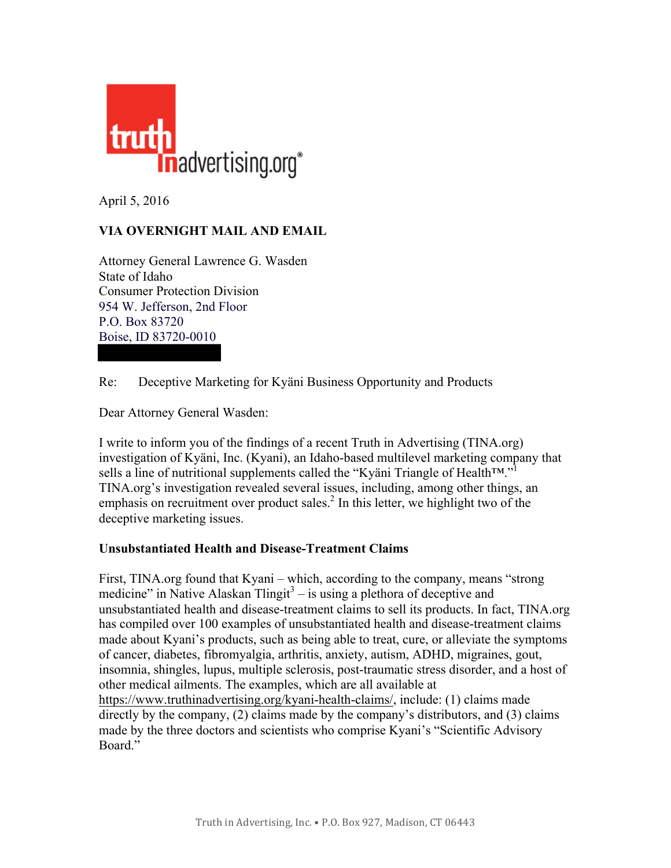

April 5, 2016

## **VIA OVERNIGHT MAIL AND EMAIL**

Attorney General Lawrence G. Wasden State of Idaho Consumer Protection Division 954 W. Jefferson, 2nd Floor P.O. Box 83720 Boise, ID 83720-0010

Re: Deceptive Marketing for Kyäni Business Opportunity and Products

Dear Attorney General Wasden:

I write to inform you of the findings of a recent Truth in Advertising (TINA.org) investigation of Kyäni, Inc. (Kyani), an Idaho-based multilevel marketing company that sells a line of nutritional supplements called the "Kyäni Triangle of Health™."<sup>1</sup> TINA.org's investigation revealed several issues, including, among other things, an emphasis on recruitment over product sales. $^{2}$  In this letter, we highlight two of the deceptive marketing issues.

## **Unsubstantiated Health and Disease-Treatment Claims**

First, TINA.org found that Kyani – which, according to the company, means "strong medicine" in Native Alaskan Tlingit<sup>3</sup> – is using a plethora of deceptive and unsubstantiated health and disease-treatment claims to sell its products. In fact, TINA.org has compiled over 100 examples of unsubstantiated health and disease-treatment claims made about Kyani's products, such as being able to treat, cure, or alleviate the symptoms of cancer, diabetes, fibromyalgia, arthritis, anxiety, autism, ADHD, migraines, gout, insomnia, shingles, lupus, multiple sclerosis, post-traumatic stress disorder, and a host of other medical ailments. The examples, which are all available at https://www.truthinadvertising.org/kyani-health-claims/, include: (1) claims made directly by the company, (2) claims made by the company's distributors, and (3) claims made by the three doctors and scientists who comprise Kyani's "Scientific Advisory Board."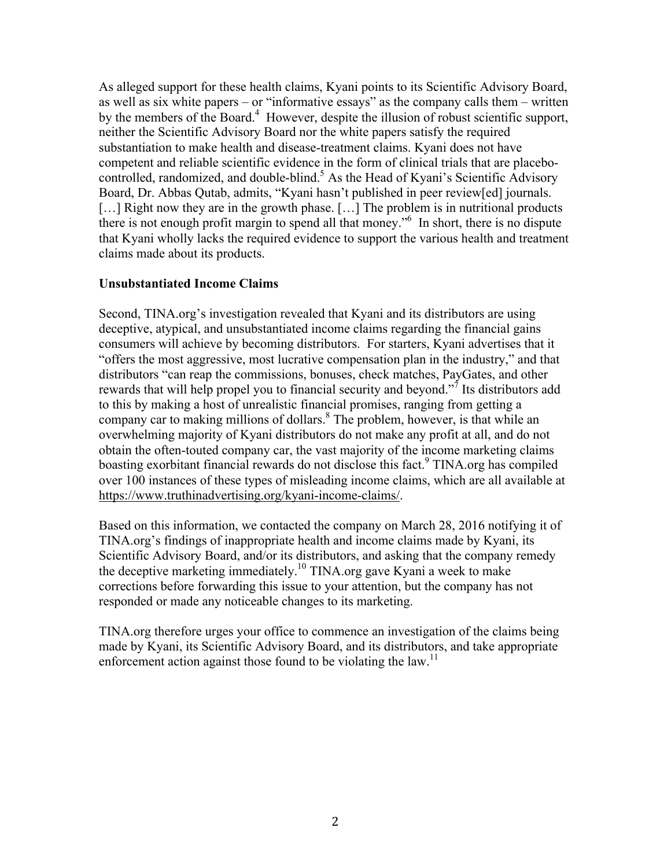As alleged support for these health claims, Kyani points to its Scientific Advisory Board, as well as six white papers – or "informative essays" as the company calls them – written by the members of the Board.<sup>4</sup> However, despite the illusion of robust scientific support, neither the Scientific Advisory Board nor the white papers satisfy the required substantiation to make health and disease-treatment claims. Kyani does not have competent and reliable scientific evidence in the form of clinical trials that are placebocontrolled, randomized, and double-blind.<sup>5</sup> As the Head of Kyani's Scientific Advisory Board, Dr. Abbas Qutab, admits, "Kyani hasn't published in peer review[ed] journals. [...] Right now they are in the growth phase. [...] The problem is in nutritional products there is not enough profit margin to spend all that money."6 In short, there is no dispute that Kyani wholly lacks the required evidence to support the various health and treatment claims made about its products.

## **Unsubstantiated Income Claims**

Second, TINA.org's investigation revealed that Kyani and its distributors are using deceptive, atypical, and unsubstantiated income claims regarding the financial gains consumers will achieve by becoming distributors. For starters, Kyani advertises that it "offers the most aggressive, most lucrative compensation plan in the industry," and that distributors "can reap the commissions, bonuses, check matches, PayGates, and other rewards that will help propel you to financial security and beyond."<sup>7</sup> Its distributors add to this by making a host of unrealistic financial promises, ranging from getting a company car to making millions of dollars.<sup>8</sup> The problem, however, is that while an overwhelming majority of Kyani distributors do not make any profit at all, and do not obtain the often-touted company car, the vast majority of the income marketing claims boasting exorbitant financial rewards do not disclose this fact.  $9$  TINA org has compiled over 100 instances of these types of misleading income claims, which are all available at https://www.truthinadvertising.org/kyani-income-claims/.

Based on this information, we contacted the company on March 28, 2016 notifying it of TINA.org's findings of inappropriate health and income claims made by Kyani, its Scientific Advisory Board, and/or its distributors, and asking that the company remedy the deceptive marketing immediately.<sup>10</sup> TINA.org gave Kyani a week to make corrections before forwarding this issue to your attention, but the company has not responded or made any noticeable changes to its marketing.

TINA.org therefore urges your office to commence an investigation of the claims being made by Kyani, its Scientific Advisory Board, and its distributors, and take appropriate enforcement action against those found to be violating the law.<sup>11</sup>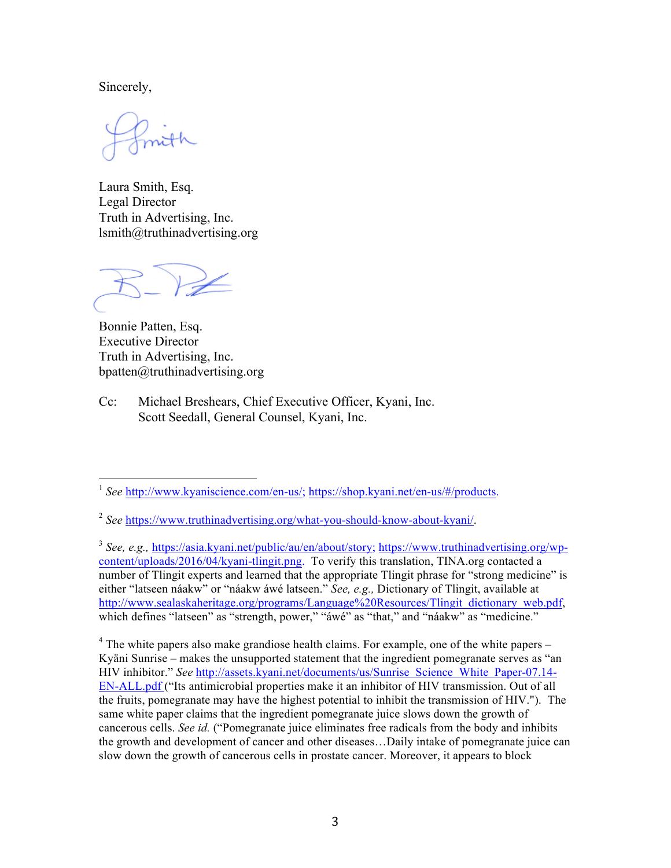Sincerely,

Laura Smith, Esq. Legal Director Truth in Advertising, Inc. lsmith@truthinadvertising.org

Bonnie Patten, Esq. Executive Director Truth in Advertising, Inc. bpatten@truthinadvertising.org

Cc: Michael Breshears, Chief Executive Officer, Kyani, Inc. Scott Seedall, General Counsel, Kyani, Inc.

<sup>3</sup> *See, e.g.,* https://asia.kyani.net/public/au/en/about/story; https://www.truthinadvertising.org/wpcontent/uploads/2016/04/kyani-tlingit.png. To verify this translation, TINA.org contacted a number of Tlingit experts and learned that the appropriate Tlingit phrase for "strong medicine" is either "latseen náakw" or "náakw áwé latseen." *See, e.g.,* Dictionary of Tlingit, available at http://www.sealaskaheritage.org/programs/Language%20Resources/Tlingit dictionary web.pdf, which defines "latseen" as "strength, power," "awé" as "that," and "náakw" as "medicine."

 $4$  The white papers also make grandiose health claims. For example, one of the white papers – Kyäni Sunrise – makes the unsupported statement that the ingredient pomegranate serves as "an HIV inhibitor." *See* http://assets.kyani.net/documents/us/Sunrise Science White Paper-07.14- EN-ALL.pdf ("Its antimicrobial properties make it an inhibitor of HIV transmission. Out of all the fruits, pomegranate may have the highest potential to inhibit the transmission of HIV."). The same white paper claims that the ingredient pomegranate juice slows down the growth of cancerous cells. *See id.* ("Pomegranate juice eliminates free radicals from the body and inhibits the growth and development of cancer and other diseases…Daily intake of pomegranate juice can slow down the growth of cancerous cells in prostate cancer. Moreover, it appears to block

 <sup>1</sup> *See* http://www.kyaniscience.com/en-us/; https://shop.kyani.net/en-us/#/products.

<sup>2</sup> *See* https://www.truthinadvertising.org/what-you-should-know-about-kyani/.